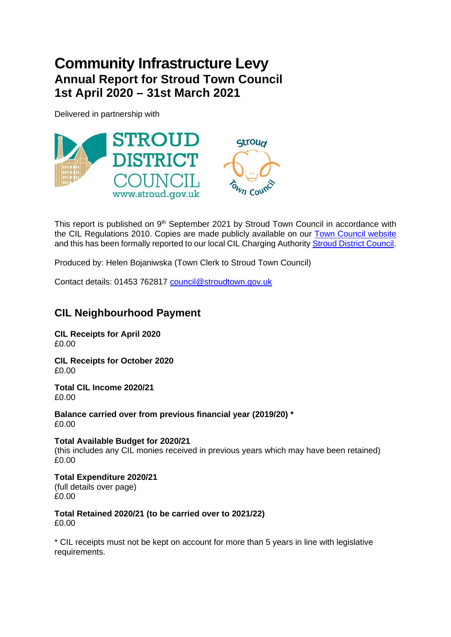## **Community Infrastructure Levy Annual Report for Stroud Town Council 1st April 2020 – 31st March 2021**

Delivered in partnership with



This report is published on 9<sup>th</sup> September 2021 by Stroud Town Council in accordance with the CIL Regulations 2010. Copies are made publicly available on our [Town Council website](https://www.stroudtown.gov.uk/finance.html) and this has been formally reported to our local CIL Charging Authorit[y Stroud District Council.](http://www.stroud.gov.uk/)

Produced by: Helen Bojaniwska (Town Clerk to Stroud Town Council)

Contact details: 01453 762817 [council@stroudtown.gov.uk](mailto:council@stroudtown.gov.uk)

## **CIL Neighbourhood Payment**

**CIL Receipts for April 2020** £0.00

**CIL Receipts for October 2020** £0.00

**Total CIL Income 2020/21** £0.00

**Balance carried over from previous financial year (2019/20) \*** £0.00

**Total Available Budget for 2020/21** (this includes any CIL monies received in previous years which may have been retained) £0.00

**Total Expenditure 2020/21** (full details over page) £0.00

**Total Retained 2020/21 (to be carried over to 2021/22)** £0.00

\* CIL receipts must not be kept on account for more than 5 years in line with legislative requirements.